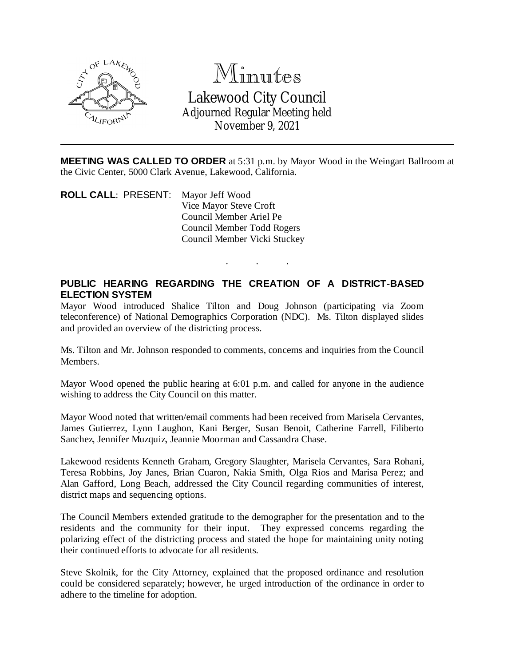

## Minutes Lakewood City Council Adjourned Regular Meeting held

November 9, 2021

**MEETING WAS CALLED TO ORDER** at 5:31 p.m. by Mayor Wood in the Weingart Ballroom at the Civic Center, 5000 Clark Avenue, Lakewood, California.

**ROLL CALL**: PRESENT: Mayor Jeff Wood Vice Mayor Steve Croft Council Member Ariel Pe Council Member Todd Rogers Council Member Vicki Stuckey

## **PUBLIC HEARING REGARDING THE CREATION OF A DISTRICT-BASED ELECTION SYSTEM**

. . .

Mayor Wood introduced Shalice Tilton and Doug Johnson (participating via Zoom teleconference) of National Demographics Corporation (NDC). Ms. Tilton displayed slides and provided an overview of the districting process.

Ms. Tilton and Mr. Johnson responded to comments, concerns and inquiries from the Council Members.

Mayor Wood opened the public hearing at 6:01 p.m. and called for anyone in the audience wishing to address the City Council on this matter.

Mayor Wood noted that written/email comments had been received from Marisela Cervantes, James Gutierrez, Lynn Laughon, Kani Berger, Susan Benoit, Catherine Farrell, Filiberto Sanchez, Jennifer Muzquiz, Jeannie Moorman and Cassandra Chase.

Lakewood residents Kenneth Graham, Gregory Slaughter, Marisela Cervantes, Sara Rohani, Teresa Robbins, Joy Janes, Brian Cuaron, Nakia Smith, Olga Rios and Marisa Perez; and Alan Gafford, Long Beach, addressed the City Council regarding communities of interest, district maps and sequencing options.

The Council Members extended gratitude to the demographer for the presentation and to the residents and the community for their input. They expressed concerns regarding the polarizing effect of the districting process and stated the hope for maintaining unity noting their continued efforts to advocate for all residents.

Steve Skolnik, for the City Attorney, explained that the proposed ordinance and resolution could be considered separately; however, he urged introduction of the ordinance in order to adhere to the timeline for adoption.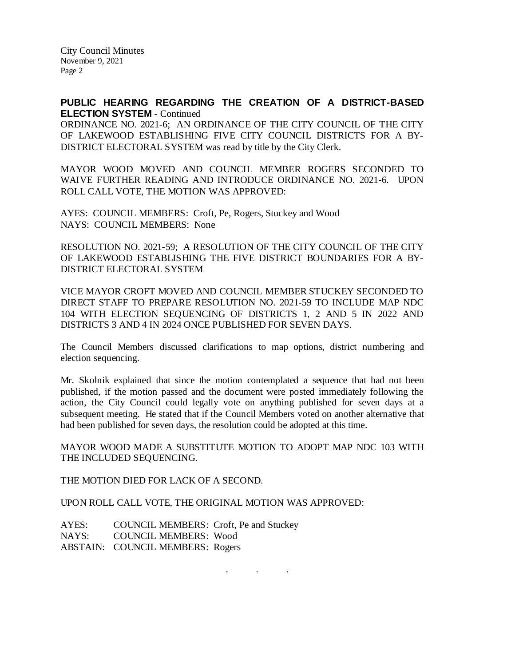City Council Minutes November 9, 2021 Page 2

## **PUBLIC HEARING REGARDING THE CREATION OF A DISTRICT-BASED ELECTION SYSTEM** - Continued

ORDINANCE NO. 2021-6; AN ORDINANCE OF THE CITY COUNCIL OF THE CITY OF LAKEWOOD ESTABLISHING FIVE CITY COUNCIL DISTRICTS FOR A BY-DISTRICT ELECTORAL SYSTEM was read by title by the City Clerk.

MAYOR WOOD MOVED AND COUNCIL MEMBER ROGERS SECONDED TO WAIVE FURTHER READING AND INTRODUCE ORDINANCE NO. 2021-6. UPON ROLL CALL VOTE, THE MOTION WAS APPROVED:

AYES: COUNCIL MEMBERS: Croft, Pe, Rogers, Stuckey and Wood NAYS: COUNCIL MEMBERS: None

RESOLUTION NO. 2021-59; A RESOLUTION OF THE CITY COUNCIL OF THE CITY OF LAKEWOOD ESTABLISHING THE FIVE DISTRICT BOUNDARIES FOR A BY-DISTRICT ELECTORAL SYSTEM

VICE MAYOR CROFT MOVED AND COUNCIL MEMBER STUCKEY SECONDED TO DIRECT STAFF TO PREPARE RESOLUTION NO. 2021-59 TO INCLUDE MAP NDC 104 WITH ELECTION SEQUENCING OF DISTRICTS 1, 2 AND 5 IN 2022 AND DISTRICTS 3 AND 4 IN 2024 ONCE PUBLISHED FOR SEVEN DAYS.

The Council Members discussed clarifications to map options, district numbering and election sequencing.

Mr. Skolnik explained that since the motion contemplated a sequence that had not been published, if the motion passed and the document were posted immediately following the action, the City Council could legally vote on anything published for seven days at a subsequent meeting. He stated that if the Council Members voted on another alternative that had been published for seven days, the resolution could be adopted at this time.

MAYOR WOOD MADE A SUBSTITUTE MOTION TO ADOPT MAP NDC 103 WITH THE INCLUDED SEQUENCING.

THE MOTION DIED FOR LACK OF A SECOND.

UPON ROLL CALL VOTE, THE ORIGINAL MOTION WAS APPROVED:

AYES: COUNCIL MEMBERS: Croft, Pe and Stuckey NAYS: COUNCIL MEMBERS: Wood ABSTAIN: COUNCIL MEMBERS: Rogers

. . .